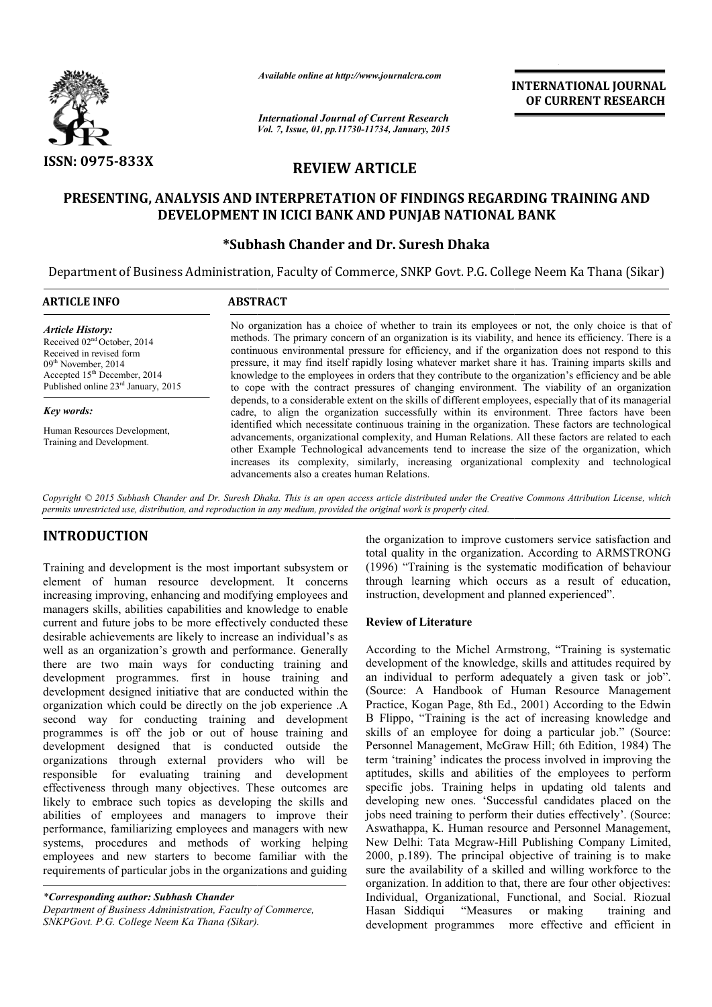

*Available online at http://www.journalcra.com*

*International Journal of Current Research Vol. 7, Issue, 01, pp.11730-11734, January, 2015* **INTERNATIONAL JOURNAL OF CURRENT RESEARCH** 

# **REVIEW ARTICLE**

## **PRESENTING, ANALYSIS AND INTERPRETATION OF FINDINGS REGARDING TRAINING AND DEVELOPMENT IN ICICI BANK AND PUNJAB NATIONAL BANK**

## **\*Subhash Chander and Subhash Dr. Suresh Dhaka**

Department of Business Administration, Faculty of Commerce, SNKP Govt. P.G. College Neem Ka Thana (Sikar)

| <b>ARTICLE INFO</b>                                                                                                                                                                                                                                                                | <b>ABSTRACT</b>                                                                                                                                                                                                                                                                                                                                                                                                                                                                                                                                                                                                                                                            |  |
|------------------------------------------------------------------------------------------------------------------------------------------------------------------------------------------------------------------------------------------------------------------------------------|----------------------------------------------------------------------------------------------------------------------------------------------------------------------------------------------------------------------------------------------------------------------------------------------------------------------------------------------------------------------------------------------------------------------------------------------------------------------------------------------------------------------------------------------------------------------------------------------------------------------------------------------------------------------------|--|
| <b>Article History:</b><br>Received $02nd$ October, 2014<br>Received in revised form<br>$09th$ November, 2014<br>Accepted 15 <sup>th</sup> December, 2014<br>Published online 23rd January, 2015<br><b>Key words:</b><br>Human Resources Development,<br>Training and Development. | No organization has a choice of whether to train its employees or not, the only choice is that of<br>methods. The primary concern of an organization is its viability, and hence its efficiency. There is a<br>continuous environmental pressure for efficiency, and if the organization does not respond to this<br>pressure, it may find itself rapidly losing whatever market share it has. Training imparts skills and<br>knowledge to the employees in orders that they contribute to the organization's efficiency and be able<br>to cope with the contract pressures of changing environment. The viability of an organization                                      |  |
|                                                                                                                                                                                                                                                                                    | depends, to a considerable extent on the skills of different employees, especially that of its managerial<br>cadre, to align the organization successfully within its environment. Three factors have been<br>identified which necessitate continuous training in the organization. These factors are technological<br>advancements, organizational complexity, and Human Relations. All these factors are related to each<br>other Example Technological advancements tend to increase the size of the organization, which<br>increases its complexity, similarly, increasing organizational complexity and technological<br>advancements also a creates human Relations. |  |

*Copyright © 2015 Subhash Chander and Dr. Suresh Dhaka. This is an open access article distributed under the Creative Commons Attribution access the License, which permits unrestricted use, distribution, and reproduction in any medium, provided the original work is properly cited.*

# **INTRODUCTION**

Training and development is the most important subsystem or element of human resource development. It concerns increasing improving, enhancing and modifying employees and managers skills, abilities capabilities and knowledge to enable current and future jobs to be more effectively conducted these desirable achievements are likely to increase an individual's as well as an organization's growth and performance. Generally there are two main ways for conducting training and current and future jobs to be more effectively conducted these desirable achievements are likely to increase an individual's as well as an organization's growth and performance. Generally there are two main ways for conduc development designed initiative that are conducted within the organization which could be directly on the job experience .A second way for conducting training and development programmes is off the job or out of house training and development designed that is conducted outside the organizations through external providers who will be responsible for evaluating training and development effectiveness through many objectives. These outcomes are likely to embrace such topics as developing the skills and abilities of employees and managers to improve their performance, familiarizing employees and managers with new systems, procedures and methods of working helping employees and new starters to become familiar with the requirements of particular jobs in the organizations and guiding

*\*Corresponding author: Subhash Chander* 

*Department of Business Administration, Faculty of Commerce, SNKPGovt. P.G. College Neem Ka Thana (Sikar).*

total quality in the organization. According to ARMSTRONG (1996) "Training is the systematic modification of behaviour through learning which occurs as a result of education, instruction, development and planned experienced". the organization to improve customers service satisfaction and<br>total quality in the organization. According to ARMSTRONG<br>(1996) "Training is the systematic modification of behaviour<br>through learning which occurs as a resul

#### **Review of Literature**

the organization to improve customers service satisfaction and<br>trant subsystem or (1996) "Training is the syarication. According to ARMSTRONG<br>
internate through learning which occurs as a result of education,<br>
ing employee According to the Michel Armstrong, "Training is systematic development of the knowledge, skills and attitudes required by an individual to perform adequately a given task or job". (Source: A Handbook of Human Resource Management Practice, Kogan Page, 8th Ed., 2001) According to the Edwin B Flippo, "Training is the act of increasing knowledge and skills of an employee for doing a particular job." (Source: Personnel Management, McGraw Hill; 6th Edition, 1984) The term 'training' indicates the process involved in improv aptitudes, skills and abilities of the employees to perform specific jobs. Training helps in updating old talents and developing new ones. 'Successful candidates placed on the jobs need training to perform their duties effectively'. (Source: Aswathappa, K. Human resource and Personnel Management, New Delhi: Tata Mcgraw-Hill Publishing Company 2000, p.189). The principal objective of training is to make sure the availability of a skilled and willing workforce to the organization. In addition to that, there are four other objectives: Individual, Organizational, Functional, and Social. Riozual Hasan Siddiqui "Measures or making training and development programmes more effective and efficient in Flippo, "Training is the act of increasing knowledge and Ils of an employee for doing a particular job." (Source: rsonnel Management, McGraw Hill; 6th Edition, 1984) The m 'training' indicates the process involved in impro aptitudes, skills and abilities of the employees to perform<br>specific jobs. Training helps in updating old talents and<br>developing new ones. 'Successful candidates placed on the<br>jobs need training to perform their duties eff , p.189). The principal objective of training is to make the availability of a skilled and willing workforce to the nization. In addition to that, there are four other objectives: **INTERNATIONAL JOURNAL OF CURRENT RESEARCH COVER (CONTRENT RESEARCH CONTRENT (CONTRENT RESEARCH RESEARCH AND TIONAL BANK and A COMPRET (CONTRENT) (CONTRENT) (CONTRENT) (CONTRENT) (CONTRENT) (CONTRENT) (CONTRENT) (CONTRENT**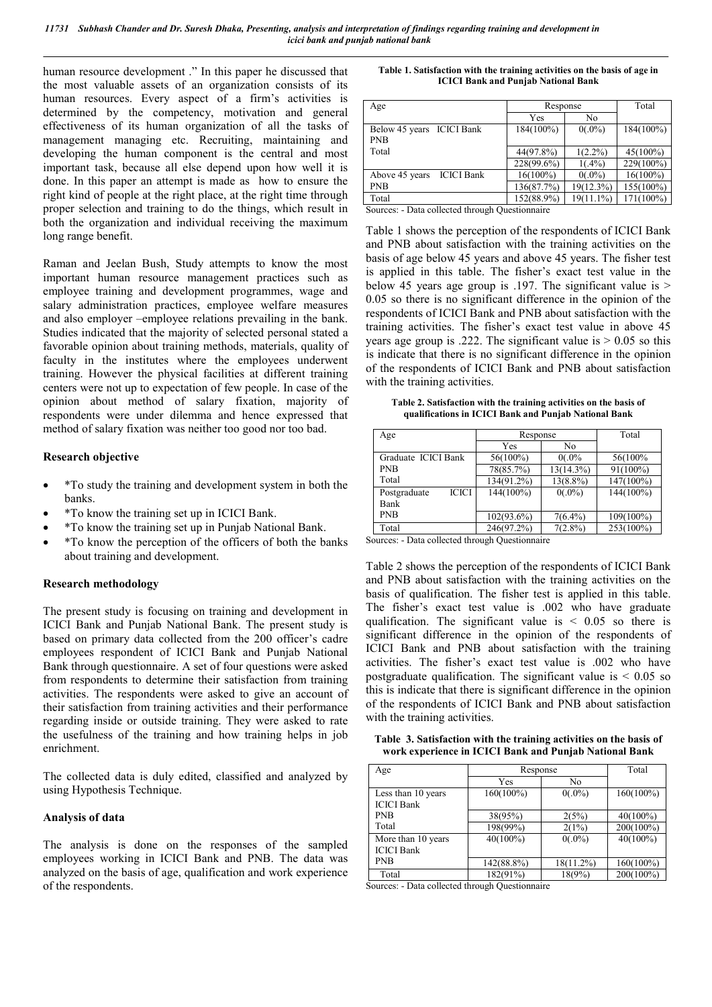*11731 Subhash Chander and Dr. Suresh Dhaka, Presenting, analysis and interpretation of findings regarding training and development in icici bank and punjab national bank*

human resource development ." In this paper he discussed that the most valuable assets of an organization consists of its human resources. Every aspect of a firm's activities is determined by the competency, motivation and general effectiveness of its human organization of all the tasks of management managing etc. Recruiting, maintaining and developing the human component is the central and most important task, because all else depend upon how well it is done. In this paper an attempt is made as how to ensure the right kind of people at the right place, at the right time through proper selection and training to do the things, which result in both the organization and individual receiving the maximum long range benefit.

Raman and Jeelan Bush, Study attempts to know the most important human resource management practices such as employee training and development programmes, wage and salary administration practices, employee welfare measures and also employer –employee relations prevailing in the bank. Studies indicated that the majority of selected personal stated a favorable opinion about training methods, materials, quality of faculty in the institutes where the employees underwent training. However the physical facilities at different training centers were not up to expectation of few people. In case of the opinion about method of salary fixation, majority of respondents were under dilemma and hence expressed that method of salary fixation was neither too good nor too bad.

#### **Research objective**

- \*To study the training and development system in both the banks.
- \*To know the training set up in ICICI Bank.
- \*To know the training set up in Punjab National Bank.
- \*To know the perception of the officers of both the banks about training and development.

#### **Research methodology**

The present study is focusing on training and development in ICICI Bank and Punjab National Bank. The present study is based on primary data collected from the 200 officer's cadre employees respondent of ICICI Bank and Punjab National Bank through questionnaire. A set of four questions were asked from respondents to determine their satisfaction from training activities. The respondents were asked to give an account of their satisfaction from training activities and their performance regarding inside or outside training. They were asked to rate the usefulness of the training and how training helps in job enrichment.

The collected data is duly edited, classified and analyzed by using Hypothesis Technique.

#### **Analysis of data**

The analysis is done on the responses of the sampled employees working in ICICI Bank and PNB. The data was analyzed on the basis of age, qualification and work experience of the respondents.

| Table 1. Satisfaction with the training activities on the basis of age in |
|---------------------------------------------------------------------------|
| <b>ICICI Bank and Punjab National Bank</b>                                |

| Age                                     | Response     |              | Total        |
|-----------------------------------------|--------------|--------------|--------------|
|                                         | Yes          | No           |              |
| Below 45 years ICICI Bank<br><b>PNB</b> | $184(100\%)$ | $0(.0\%)$    | $184(100\%)$ |
| Total                                   | 44(97.8%)    | $1(2.2\%)$   | $45(100\%)$  |
|                                         | 228(99.6%)   | $1(.4\%)$    | 229(100%)    |
| <b>ICICI</b> Bank<br>Above 45 years     | $16(100\%)$  | $0(.0\%)$    | $16(100\%)$  |
| <b>PNB</b>                              | 136(87.7%)   | $19(12.3\%)$ | 155(100%)    |
| Total                                   | 152(88.9%)   | $19(11.1\%)$ | $171(100\%)$ |

Sources: - Data collected through Questionnaire

Table 1 shows the perception of the respondents of ICICI Bank and PNB about satisfaction with the training activities on the basis of age below 45 years and above 45 years. The fisher test is applied in this table. The fisher's exact test value in the below 45 years age group is .197. The significant value is  $>$ 0.05 so there is no significant difference in the opinion of the respondents of ICICI Bank and PNB about satisfaction with the training activities. The fisher's exact test value in above 45 years age group is .222. The significant value is  $> 0.05$  so this is indicate that there is no significant difference in the opinion of the respondents of ICICI Bank and PNB about satisfaction with the training activities.

**Table 2. Satisfaction with the training activities on the basis of qualifications in ICICI Bank and Punjab National Bank**

| Age                          | Response      |              | Total       |
|------------------------------|---------------|--------------|-------------|
|                              | Yes           | No           |             |
| Graduate ICICI Bank          | 56(100%)      | $0(.0\%$     | 56(100%     |
| <b>PNB</b>                   | 78(85.7%)     | $13(14.3\%)$ | $91(100\%)$ |
| Total                        | 134(91.2%)    | $13(8.8\%)$  | 147(100%)   |
| <b>ICICI</b><br>Postgraduate | 144(100%)     | $0(.0\%)$    | 144(100%)   |
| Bank                         |               |              |             |
| <b>PNB</b>                   | $102(93.6\%)$ | $7(6.4\%)$   | 109(100%)   |
| Total                        | 246(97.2%)    | $7(2.8\%)$   | 253(100%)   |

Sources: - Data collected through Questionnaire

Table 2 shows the perception of the respondents of ICICI Bank and PNB about satisfaction with the training activities on the basis of qualification. The fisher test is applied in this table. The fisher's exact test value is .002 who have graduate qualification. The significant value is  $\leq 0.05$  so there is significant difference in the opinion of the respondents of ICICI Bank and PNB about satisfaction with the training activities. The fisher's exact test value is .002 who have postgraduate qualification. The significant value is  $\leq 0.05$  so this is indicate that there is significant difference in the opinion of the respondents of ICICI Bank and PNB about satisfaction with the training activities.

**Table 3. Satisfaction with the training activities on the basis of work experience in ICICI Bank and Punjab National Bank**

| Age                                     |              | Response     |              |  |
|-----------------------------------------|--------------|--------------|--------------|--|
|                                         | Yes          | No           |              |  |
| Less than 10 years<br><b>ICICI</b> Bank | $160(100\%)$ | $0(.0\%)$    | $160(100\%)$ |  |
| <b>PNB</b>                              | 38(95%)      | 2(5%)        | $40(100\%)$  |  |
| Total                                   | 198(99%)     | 2(1%)        | 200(100%)    |  |
| More than 10 years<br><b>ICICI</b> Bank | $40(100\%)$  | $0(.0\%)$    | $40(100\%)$  |  |
| <b>PNB</b>                              | 142(88.8%)   | $18(11.2\%)$ | $160(100\%)$ |  |
| Total                                   | 182(91%)     | 18(9%)       | 200(100%)    |  |

Sources: - Data collected through Questionnaire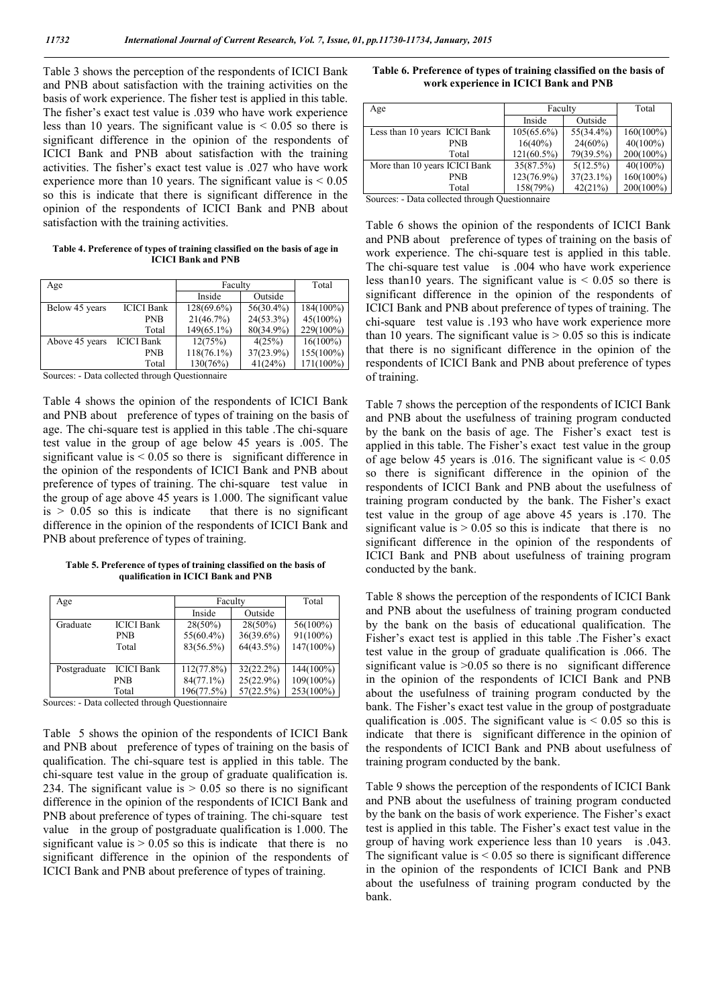Table 3 shows the perception of the respondents of ICICI Bank and PNB about satisfaction with the training activities on the basis of work experience. The fisher test is applied in this table. The fisher's exact test value is .039 who have work experience less than 10 years. The significant value is  $< 0.05$  so there is significant difference in the opinion of the respondents of ICICI Bank and PNB about satisfaction with the training activities. The fisher's exact test value is .027 who have work experience more than 10 years. The significant value is  $\leq 0.05$ so this is indicate that there is significant difference in the opinion of the respondents of ICICI Bank and PNB about satisfaction with the training activities.

**Table 4. Preference of types of training classified on the basis of age in ICICI Bank and PNB**

| Age            |                   | Faculty       | Total        |             |
|----------------|-------------------|---------------|--------------|-------------|
|                |                   | Inside        | Outside      |             |
| Below 45 years | <b>ICICI</b> Bank | $128(69.6\%)$ | $56(30.4\%)$ | 184(100%)   |
|                | <b>PNB</b>        | 21(46.7%)     | $24(53.3\%)$ | $45(100\%)$ |
|                | Total             | $149(65.1\%)$ | 80(34.9%)    | 229(100%)   |
| Above 45 years | <b>ICICI Bank</b> | 12(75%)       | 4(25%)       | $16(100\%)$ |
|                | <b>PNB</b>        | $118(76.1\%)$ | $37(23.9\%)$ | 155(100%)   |
|                | Total             | 130(76%)      | 41(24%)      | 171(100%)   |

Sources: - Data collected through Questionnaire

Table 4 shows the opinion of the respondents of ICICI Bank and PNB about preference of types of training on the basis of age. The chi-square test is applied in this table .The chi-square test value in the group of age below 45 years is .005. The significant value is  $< 0.05$  so there is significant difference in the opinion of the respondents of ICICI Bank and PNB about preference of types of training. The chi-square test value in the group of age above 45 years is 1.000. The significant value  $is > 0.05$  so this is indicate that there is no significant difference in the opinion of the respondents of ICICI Bank and PNB about preference of types of training.

**Table 5. Preference of types of training classified on the basis of qualification in ICICI Bank and PNB**

| Age          |                   | Faculty       |              | Total        |
|--------------|-------------------|---------------|--------------|--------------|
|              |                   | Inside        | Outside      |              |
| Graduate     | <b>ICICI Bank</b> | $28(50\%)$    | $28(50\%)$   | 56(100%)     |
|              | <b>PNB</b>        | $55(60.4\%)$  | 36(39.6%)    | 91(100%)     |
|              | Total             | 83(56.5%)     | 64(43.5%)    | $147(100\%)$ |
|              |                   |               |              |              |
| Postgraduate | <b>ICICI</b> Bank | $112(77.8\%)$ | $32(22.2\%)$ | $144(100\%)$ |
|              | <b>PNB</b>        | $84(77.1\%)$  | 25(22.9%)    | $109(100\%)$ |
|              | Total             | 196(77.5%)    | 57(22.5%)    | 253(100%)    |

Sources: - Data collected through Questionnaire

Table 5 shows the opinion of the respondents of ICICI Bank and PNB about preference of types of training on the basis of qualification. The chi-square test is applied in this table. The chi-square test value in the group of graduate qualification is. 234. The significant value is  $> 0.05$  so there is no significant difference in the opinion of the respondents of ICICI Bank and PNB about preference of types of training. The chi-square test value in the group of postgraduate qualification is 1.000. The significant value is  $> 0.05$  so this is indicate that there is no significant difference in the opinion of the respondents of ICICI Bank and PNB about preference of types of training.

| Table 6. Preference of types of training classified on the basis of |
|---------------------------------------------------------------------|
| work experience in ICICI Bank and PNB                               |

| Age                           | Faculty       |              | Total        |
|-------------------------------|---------------|--------------|--------------|
|                               | Inside        | Outside      |              |
| Less than 10 years ICICI Bank | $105(65.6\%)$ | 55(34.4%)    | $160(100\%)$ |
| <b>PNB</b>                    | $16(40\%)$    | $24(60\%)$   | $40(100\%)$  |
| Total                         | $121(60.5\%)$ | 79(39.5%)    | $200(100\%)$ |
| More than 10 years ICICI Bank | 35(87.5%)     | $5(12.5\%)$  | $40(100\%)$  |
| <b>PNB</b>                    | $123(76.9\%)$ | $37(23.1\%)$ | $160(100\%)$ |
| Total                         | 158(79%)      | 42(21%)      | $200(100\%)$ |

Sources: - Data collected through Questionnaire

Table 6 shows the opinion of the respondents of ICICI Bank and PNB about preference of types of training on the basis of work experience. The chi-square test is applied in this table. The chi-square test value is .004 who have work experience less than10 years. The significant value is  $< 0.05$  so there is significant difference in the opinion of the respondents of ICICI Bank and PNB about preference of types of training. The chi-square test value is .193 who have work experience more than 10 years. The significant value is  $> 0.05$  so this is indicate that there is no significant difference in the opinion of the respondents of ICICI Bank and PNB about preference of types of training.

Table 7 shows the perception of the respondents of ICICI Bank and PNB about the usefulness of training program conducted by the bank on the basis of age. The Fisher's exact test is applied in this table. The Fisher's exact test value in the group of age below 45 years is .016. The significant value is  $< 0.05$ so there is significant difference in the opinion of the respondents of ICICI Bank and PNB about the usefulness of training program conducted by the bank. The Fisher's exact test value in the group of age above 45 years is .170. The significant value is  $> 0.05$  so this is indicate that there is no significant difference in the opinion of the respondents of ICICI Bank and PNB about usefulness of training program conducted by the bank.

Table 8 shows the perception of the respondents of ICICI Bank and PNB about the usefulness of training program conducted by the bank on the basis of educational qualification. The Fisher's exact test is applied in this table .The Fisher's exact test value in the group of graduate qualification is .066. The significant value is  $>0.05$  so there is no significant difference in the opinion of the respondents of ICICI Bank and PNB about the usefulness of training program conducted by the bank. The Fisher's exact test value in the group of postgraduate qualification is .005. The significant value is  $\leq 0.05$  so this is indicate that there is significant difference in the opinion of the respondents of ICICI Bank and PNB about usefulness of training program conducted by the bank.

Table 9 shows the perception of the respondents of ICICI Bank and PNB about the usefulness of training program conducted by the bank on the basis of work experience. The Fisher's exact test is applied in this table. The Fisher's exact test value in the group of having work experience less than 10 years is .043. The significant value is  $\leq 0.05$  so there is significant difference in the opinion of the respondents of ICICI Bank and PNB about the usefulness of training program conducted by the bank.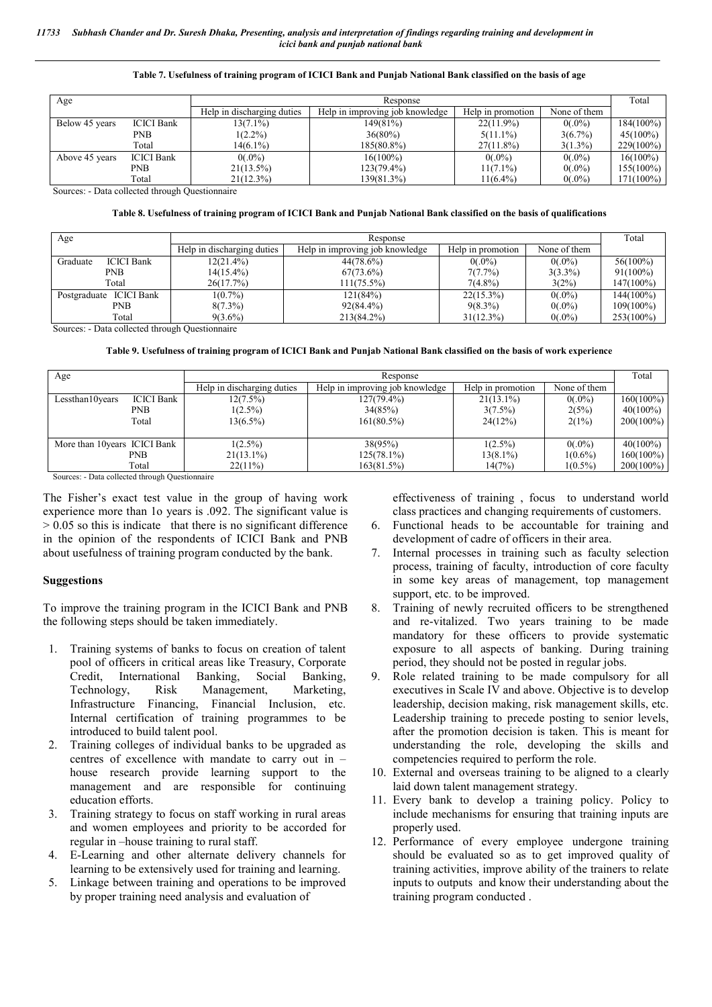#### **Table 7. Usefulness of training program of ICICI Bank and Punjab National Bank classified on the basis of age**

| Age            |                   | Response                   |                                 |                   |              |              |
|----------------|-------------------|----------------------------|---------------------------------|-------------------|--------------|--------------|
|                |                   | Help in discharging duties | Help in improving job knowledge | Help in promotion | None of them |              |
| Below 45 years | <b>ICICI</b> Bank | $13(7.1\%)$                | 149(81%)                        | $22(11.9\%)$      | $0(.0\%)$    | $184(100\%)$ |
|                | PNB               | $1(2.2\%)$                 | $36(80\%)$                      | $5(11.1\%)$       | $3(6.7\%)$   | $45(100\%)$  |
|                | Total             | $14(6.1\%)$                | 185(80.8%)                      | $27(11.8\%)$      | $3(1.3\%)$   | 229(100%)    |
| Above 45 years | <b>ICICI Bank</b> | $0(.0\%)$                  | $16(100\%)$                     | $0(.0\%)$         | $0(.0\%)$    | $16(100\%)$  |
|                | PNB               | $21(13.5\%)$               | $123(79.4\%)$                   | $11(7.1\%)$       | $0(.0\%)$    | $155(100\%)$ |
|                | Total             | 21(12.3%)                  | 139(81.3%)                      | $11(6.4\%)$       | $0(.0\%)$    | 171(100%)    |

Sources: - Data collected through Questionnaire

#### **Table 8. Usefulness of training program of ICICI Bank and Punjab National Bank classified on the basis of qualifications**

| Age                           |                            |                                 | Total             |              |             |
|-------------------------------|----------------------------|---------------------------------|-------------------|--------------|-------------|
|                               | Help in discharging duties | Help in improving job knowledge | Help in promotion | None of them |             |
| Graduate<br><b>ICICI Bank</b> | $12(21.4\%)$               | $44(78.6\%)$                    | $0(.0\%)$         | $0(.0\%)$    | $56(100\%)$ |
| <b>PNB</b>                    | $14(15.4\%)$               | $67(73.6\%)$                    | 7(7.7%)           | $3(3.3\%)$   | $91(100\%)$ |
| Total                         | 26(17.7%)                  | $111(75.5\%)$                   | $7(4.8\%)$        | 3(2%)        | 147(100%)   |
| ICICI Bank<br>Postgraduate    | $1(0.7\%)$                 | 121(84%)                        | $22(15.3\%)$      | $0(.0\%)$    | 144(100%)   |
| PNB                           | $8(7.3\%)$                 | $92(84.4\%)$                    | $9(8.3\%)$        | $0(.0\%)$    | 109(100%)   |
| Total                         | $9(3.6\%)$                 | 213(84.2%)                      | 31(12.3%)         | $0(.0\%)$    | 253(100%)   |

Sources: - Data collected through Questionnaire

**Table 9. Usefulness of training program of ICICI Bank and Punjab National Bank classified on the basis of work experience**

| Age                           |                   |                            | Response                        |                   |              |              |  |
|-------------------------------|-------------------|----------------------------|---------------------------------|-------------------|--------------|--------------|--|
|                               |                   | Help in discharging duties | Help in improving job knowledge | Help in promotion | None of them |              |  |
| Lessthan10years               | <b>ICICI</b> Bank | $12(7.5\%)$                | $127(79.4\%)$                   | $21(13.1\%)$      | $0(.0\%)$    | $160(100\%)$ |  |
|                               | <b>PNB</b>        | $1(2.5\%)$                 | 34(85%)                         | $3(7.5\%)$        | 2(5%)        | $40(100\%)$  |  |
|                               | Total             | $13(6.5\%)$                | $161(80.5\%)$                   | 24(12%)           | 2(1%)        | $200(100\%)$ |  |
|                               |                   |                            |                                 |                   |              |              |  |
| More than 10 years ICICI Bank |                   | $1(2.5\%)$                 | 38(95%)                         | $1(2.5\%)$        | $0(.0\%)$    | $40(100\%)$  |  |
|                               | PNB               | $21(13.1\%)$               | $125(78.1\%)$                   | 13(8.1%)          | $1(0.6\%)$   | $160(100\%)$ |  |
|                               | Total             | $22(11\%)$                 | 163(81.5%)                      | 14(7%)            | $1(0.5\%)$   | $200(100\%)$ |  |

Sources: - Data collected through Questionnaire

The Fisher's exact test value in the group of having work experience more than 1o years is .092. The significant value is > 0.05 so this is indicate that there is no significant difference in the opinion of the respondents of ICICI Bank and PNB about usefulness of training program conducted by the bank.

### **Suggestions**

To improve the training program in the ICICI Bank and PNB the following steps should be taken immediately.

- 1. Training systems of banks to focus on creation of talent pool of officers in critical areas like Treasury, Corporate Credit, International Banking, Social Banking, Technology, Risk Management, Marketing, Infrastructure Financing, Financial Inclusion, etc. Internal certification of training programmes to be introduced to build talent pool.
- 2. Training colleges of individual banks to be upgraded as centres of excellence with mandate to carry out in – house research provide learning support to the management and are responsible for continuing education efforts.
- 3. Training strategy to focus on staff working in rural areas and women employees and priority to be accorded for regular in –house training to rural staff.
- 4. E-Learning and other alternate delivery channels for learning to be extensively used for training and learning.
- 5. Linkage between training and operations to be improved by proper training need analysis and evaluation of

effectiveness of training , focus to understand world class practices and changing requirements of customers.

- 6. Functional heads to be accountable for training and development of cadre of officers in their area.
- 7. Internal processes in training such as faculty selection process, training of faculty, introduction of core faculty in some key areas of management, top management support, etc. to be improved.
- 8. Training of newly recruited officers to be strengthened and re-vitalized. Two years training to be made mandatory for these officers to provide systematic exposure to all aspects of banking. During training period, they should not be posted in regular jobs.
- 9. Role related training to be made compulsory for all executives in Scale IV and above. Objective is to develop leadership, decision making, risk management skills, etc. Leadership training to precede posting to senior levels, after the promotion decision is taken. This is meant for understanding the role, developing the skills and competencies required to perform the role.
- 10. External and overseas training to be aligned to a clearly laid down talent management strategy.
- 11. Every bank to develop a training policy. Policy to include mechanisms for ensuring that training inputs are properly used.
- 12. Performance of every employee undergone training should be evaluated so as to get improved quality of training activities, improve ability of the trainers to relate inputs to outputs and know their understanding about the training program conducted .